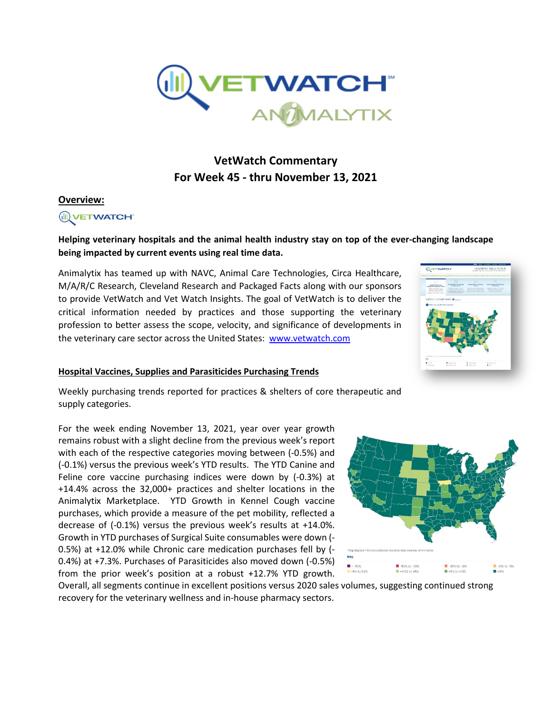

# **VetWatch Commentary For Week 45 - thru November 13, 2021**

#### **Overview:**



## **Helping veterinary hospitals and the animal health industry stay on top of the ever-changing landscape being impacted by current events using real time data.**

Animalytix has teamed up with NAVC, Animal Care Technologies, Circa Healthcare, M/A/R/C Research, Cleveland Research and Packaged Facts along with our sponsors to provide VetWatch and Vet Watch Insights. The goal of VetWatch is to deliver the critical information needed by practices and those supporting the veterinary profession to better assess the scope, velocity, and significance of developments in the veterinary care sector across the United States: [www.vetwatch.com](http://www.vetwatch.com/)

#### **Hospital Vaccines, Supplies and Parasiticides Purchasing Trends**



Weekly purchasing trends reported for practices & shelters of core therapeutic and supply categories.

For the week ending November 13, 2021, year over year growth remains robust with a slight decline from the previous week's report with each of the respective categories moving between (-0.5%) and (-0.1%) versus the previous week's YTD results. The YTD Canine and Feline core vaccine purchasing indices were down by (-0.3%) at +14.4% across the 32,000+ practices and shelter locations in the Animalytix Marketplace. YTD Growth in Kennel Cough vaccine purchases, which provide a measure of the pet mobility, reflected a decrease of (-0.1%) versus the previous week's results at +14.0%. Growth in YTD purchases of Surgical Suite consumables were down (- 0.5%) at +12.0% while Chronic care medication purchases fell by (- 0.4%) at +7.3%. Purchases of Parasiticides also moved down (-0.5%) from the prior week's position at a robust +12.7% YTD growth.



Overall, all segments continue in excellent positions versus 2020 sales volumes, suggesting continued strong recovery for the veterinary wellness and in-house pharmacy sectors.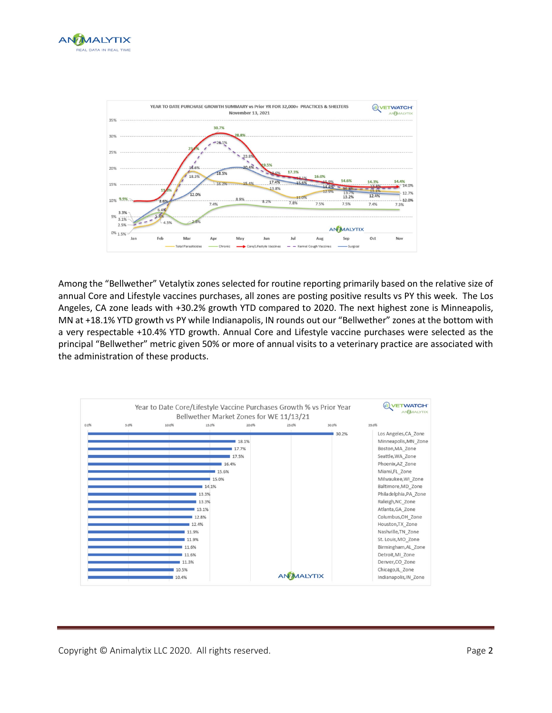



Among the "Bellwether" Vetalytix zones selected for routine reporting primarily based on the relative size of annual Core and Lifestyle vaccines purchases, all zones are posting positive results vs PY this week. The Los Angeles, CA zone leads with +30.2% growth YTD compared to 2020. The next highest zone is Minneapolis, MN at +18.1% YTD growth vs PY while Indianapolis, IN rounds out our "Bellwether" zones at the bottom with a very respectable +10.4% YTD growth. Annual Core and Lifestyle vaccine purchases were selected as the principal "Bellwether" metric given 50% or more of annual visits to a veterinary practice are associated with the administration of these products.



Copyright © Animalytix LLC 2020. All rights reserved. Copyright Context of Page 2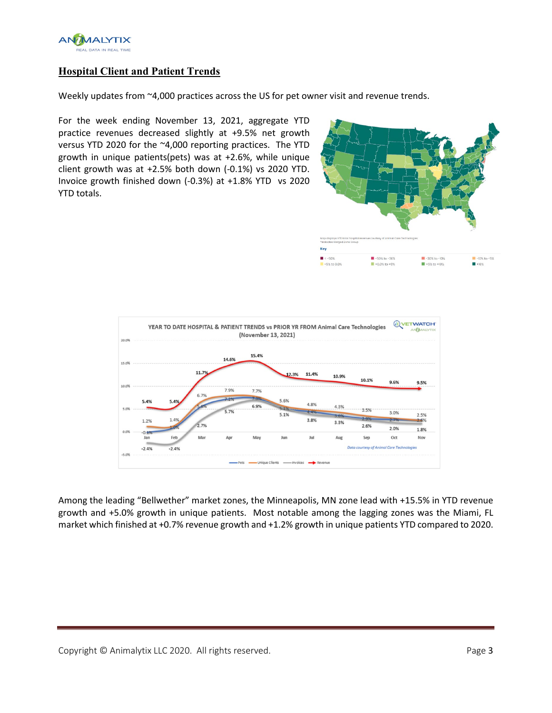

# **Hospital Client and Patient Trends**

Weekly updates from ~4,000 practices across the US for pet owner visit and revenue trends.

For the week ending November 13, 2021, aggregate YTD practice revenues decreased slightly at +9.5% net growth versus YTD 2020 for the ~4,000 reporting practices. The YTD growth in unique patients(pets) was at +2.6%, while unique client growth was at +2.5% both down (-0.1%) vs 2020 YTD. Invoice growth finished down (-0.3%) at +1.8% YTD vs 2020 YTD totals.





Among the leading "Bellwether" market zones, the Minneapolis, MN zone lead with +15.5% in YTD revenue growth and +5.0% growth in unique patients. Most notable among the lagging zones was the Miami, FL market which finished at +0.7% revenue growth and +1.2% growth in unique patients YTD compared to 2020.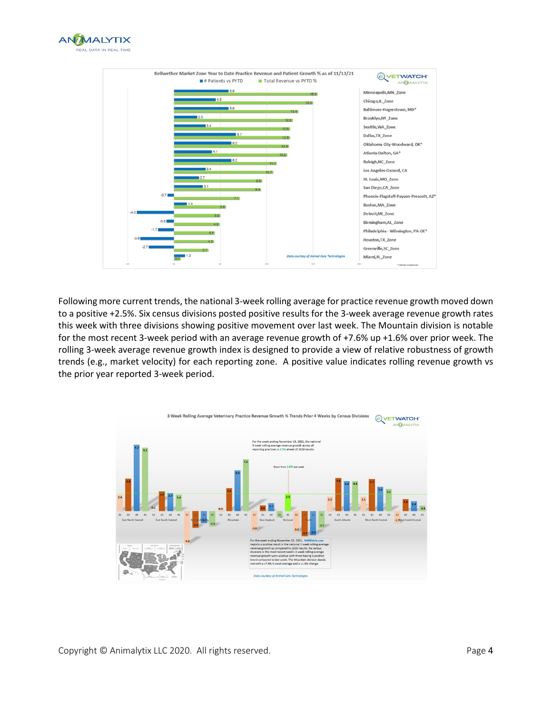



Following more current trends, the national 3-week rolling average for practice revenue growth moved down to a positive +2.5%. Six census divisions posted positive results for the 3-week average revenue growth rates this week with three divisions showing positive movement over last week. The Mountain division is notable for the most recent 3-week period with an average revenue growth of +7.6% up +1.6% over prior week. The rolling 3-week average revenue growth index is designed to provide a view of relative robustness of growth trends (e.g., market velocity) for each reporting zone. A positive value indicates rolling revenue growth vs the prior year reported 3-week period.



Copyright © Animalytix LLC 2020. All rights reserved. The example of the example of the Page 4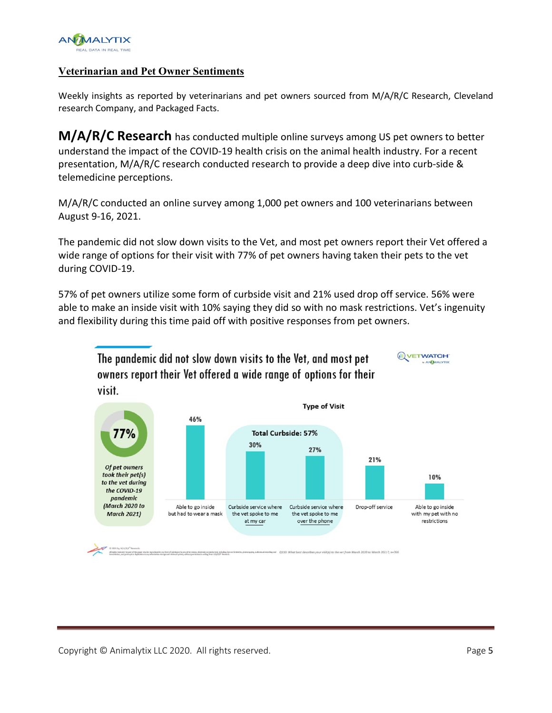

## **Veterinarian and Pet Owner Sentiments**

Weekly insights as reported by veterinarians and pet owners sourced from M/A/R/C Research, Cleveland research Company, and Packaged Facts.

**M/A/R/C Research** has conducted multiple online surveys among US pet owners to better understand the impact of the COVID-19 health crisis on the animal health industry. For a recent presentation, M/A/R/C research conducted research to provide a deep dive into curb-side & telemedicine perceptions.

M/A/R/C conducted an online survey among 1,000 pet owners and 100 veterinarians between August 9-16, 2021.

The pandemic did not slow down visits to the Vet, and most pet owners report their Vet offered a wide range of options for their visit with 77% of pet owners having taken their pets to the vet during COVID-19.

57% of pet owners utilize some form of curbside visit and 21% used drop off service. 56% were able to make an inside visit with 10% saying they did so with no mask restrictions. Vet's ingenuity and flexibility during this time paid off with positive responses from pet owners.



The pandemic did not slow down visits to the Vet, and most pet owners report their Vet offered a wide range of options for their visit.

**WETWATCHT** 

**NANALYTIX**